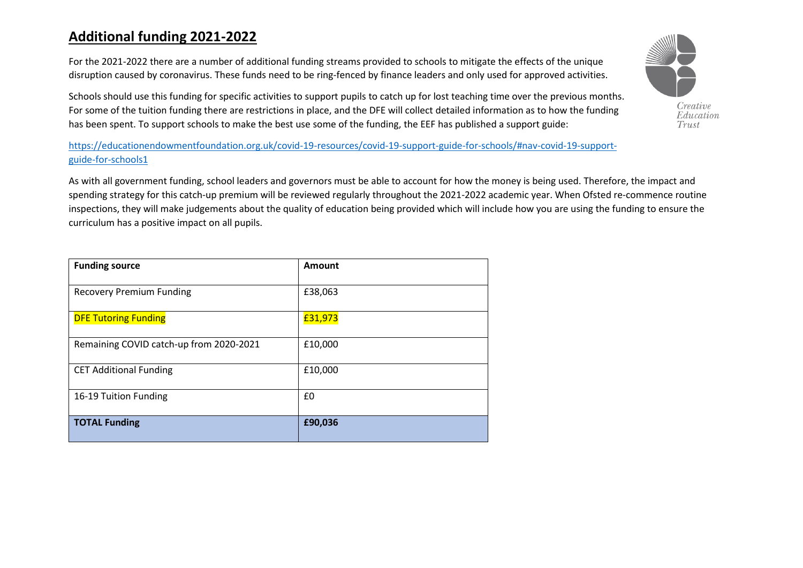## **Additional funding 2021-2022**

For the 2021-2022 there are a number of additional funding streams provided to schools to mitigate the effects of the unique disruption caused by coronavirus. These funds need to be ring-fenced by finance leaders and only used for approved activities.

Schools should use this funding for specific activities to support pupils to catch up for lost teaching time over the previous months. For some of the tuition funding there are restrictions in place, and the DFE will collect detailed information as to how the funding has been spent. To support schools to make the best use some of the funding, the EEF has published a support guide:

[https://educationendowmentfoundation.org.uk/covid-19-resources/covid-19-support-guide-for-schools/#nav-covid-19-support](https://educationendowmentfoundation.org.uk/covid-19-resources/covid-19-support-guide-for-schools/#nav-covid-19-support-guide-for-schools1)[guide-for-schools1](https://educationendowmentfoundation.org.uk/covid-19-resources/covid-19-support-guide-for-schools/#nav-covid-19-support-guide-for-schools1)

As with all government funding, school leaders and governors must be able to account for how the money is being used. Therefore, the impact and spending strategy for this catch-up premium will be reviewed regularly throughout the 2021-2022 academic year. When Ofsted re-commence routine inspections, they will make judgements about the quality of education being provided which will include how you are using the funding to ensure the curriculum has a positive impact on all pupils.

| <b>Funding source</b>                   | Amount  |
|-----------------------------------------|---------|
| <b>Recovery Premium Funding</b>         | £38,063 |
| <b>DFE Tutoring Funding</b>             | £31,973 |
| Remaining COVID catch-up from 2020-2021 | £10,000 |
| <b>CET Additional Funding</b>           | £10,000 |
| 16-19 Tuition Funding                   | £0      |
| <b>TOTAL Funding</b>                    | £90,036 |

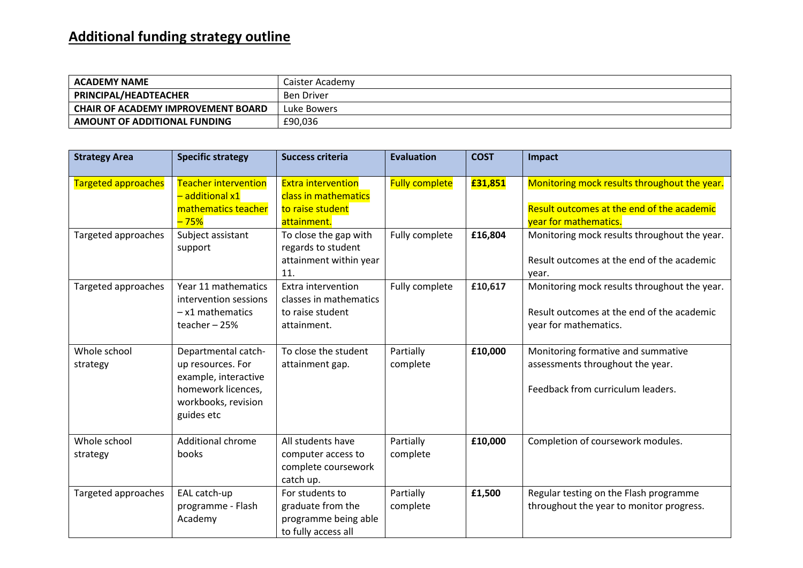## **Additional funding strategy outline**

| <b>ACADEMY NAME</b>                       | Caister Academv   |
|-------------------------------------------|-------------------|
| PRINCIPAL/HEADTEACHER                     | <b>Ben Driver</b> |
| <b>CHAIR OF ACADEMY IMPROVEMENT BOARD</b> | Luke Bowers       |
| AMOUNT OF ADDITIONAL FUNDING              | £90,036           |

| <b>Strategy Area</b>     | <b>Specific strategy</b>                                                                                                    | <b>Success criteria</b>                                                              | <b>Evaluation</b>     | <b>COST</b> | Impact                                                                                                              |
|--------------------------|-----------------------------------------------------------------------------------------------------------------------------|--------------------------------------------------------------------------------------|-----------------------|-------------|---------------------------------------------------------------------------------------------------------------------|
| Targeted approaches      | <b>Teacher intervention</b><br>additional x1<br>mathematics teacher<br>$-75%$                                               | <b>Extra intervention</b><br>class in mathematics<br>to raise student<br>attainment. | <b>Fully complete</b> | £31,851     | Monitoring mock results throughout the year.<br>Result outcomes at the end of the academic<br>year for mathematics. |
| Targeted approaches      | Subject assistant<br>support                                                                                                | To close the gap with<br>regards to student<br>attainment within year<br>11.         | Fully complete        | £16,804     | Monitoring mock results throughout the year.<br>Result outcomes at the end of the academic<br>year.                 |
| Targeted approaches      | Year 11 mathematics<br>intervention sessions<br>$-x1$ mathematics<br>teacher $-25%$                                         | Extra intervention<br>classes in mathematics<br>to raise student<br>attainment.      | Fully complete        | £10,617     | Monitoring mock results throughout the year.<br>Result outcomes at the end of the academic<br>year for mathematics. |
| Whole school<br>strategy | Departmental catch-<br>up resources. For<br>example, interactive<br>homework licences,<br>workbooks, revision<br>guides etc | To close the student<br>attainment gap.                                              | Partially<br>complete | £10,000     | Monitoring formative and summative<br>assessments throughout the year.<br>Feedback from curriculum leaders.         |
| Whole school<br>strategy | <b>Additional chrome</b><br>books                                                                                           | All students have<br>computer access to<br>complete coursework<br>catch up.          | Partially<br>complete | £10,000     | Completion of coursework modules.                                                                                   |
| Targeted approaches      | EAL catch-up<br>programme - Flash<br>Academy                                                                                | For students to<br>graduate from the<br>programme being able<br>to fully access all  | Partially<br>complete | £1,500      | Regular testing on the Flash programme<br>throughout the year to monitor progress.                                  |